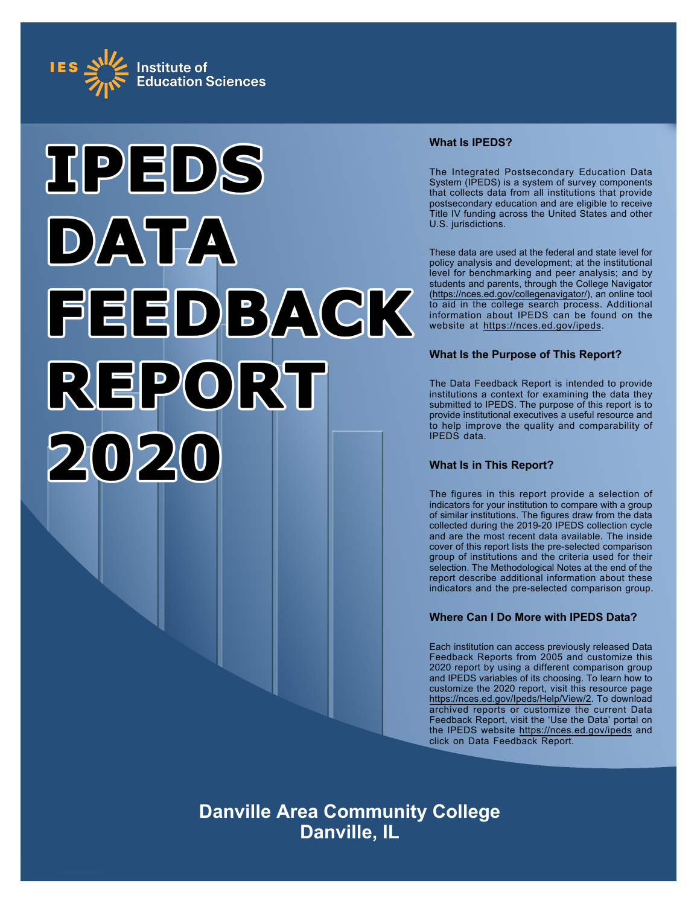



# **What Is IPEDS?**

The Integrated Postsecondary Education Data System (IPEDS) is a system of survey components that collects data from all institutions that provide postsecondary education and are eligible to receive Title IV funding across the United States and other U.S. jurisdictions.

These data are used at the federal and state level for policy analysis and development; at the institutional level for benchmarking and peer analysis; and by students and parents, through the College Navigator ([https://nces.ed.gov/collegenavigator/\)](https://nces.ed.gov/collegenavigator/), an online tool to aid in the college search process. Additional information about IPEDS can be found on the website at<https://nces.ed.gov/ipeds>.

# **What Is the Purpose of This Report?**

The Data Feedback Report is intended to provide institutions a context for examining the data they submitted to IPEDS. The purpose of this report is to provide institutional executives a useful resource and to help improve the quality and comparability of IPEDS data.

# **What Is in This Report?**

The figures in this report provide a selection of indicators for your institution to compare with a group of similar institutions. The figures draw from the data collected during the 2019-20 IPEDS collection cycle and are the most recent data available. The inside cover of this report lists the pre-selected comparison group of institutions and the criteria used for their selection. The Methodological Notes at the end of the report describe additional information about these indicators and the pre-selected comparison group.

# **Where Can I Do More with IPEDS Data?**

Each institution can access previously released Data Feedback Reports from 2005 and customize this 2020 report by using a different comparison group and IPEDS variables of its choosing. To learn how to customize the 2020 report, visit this resource page <https://nces.ed.gov/Ipeds/Help/View/2>. To download archived reports or customize the current Data Feedback Report, visit the 'Use the Data' portal on the IPEDS website<https://nces.ed.gov/ipeds> and click on Data Feedback Report.

**Danville Area Community College Danville, IL**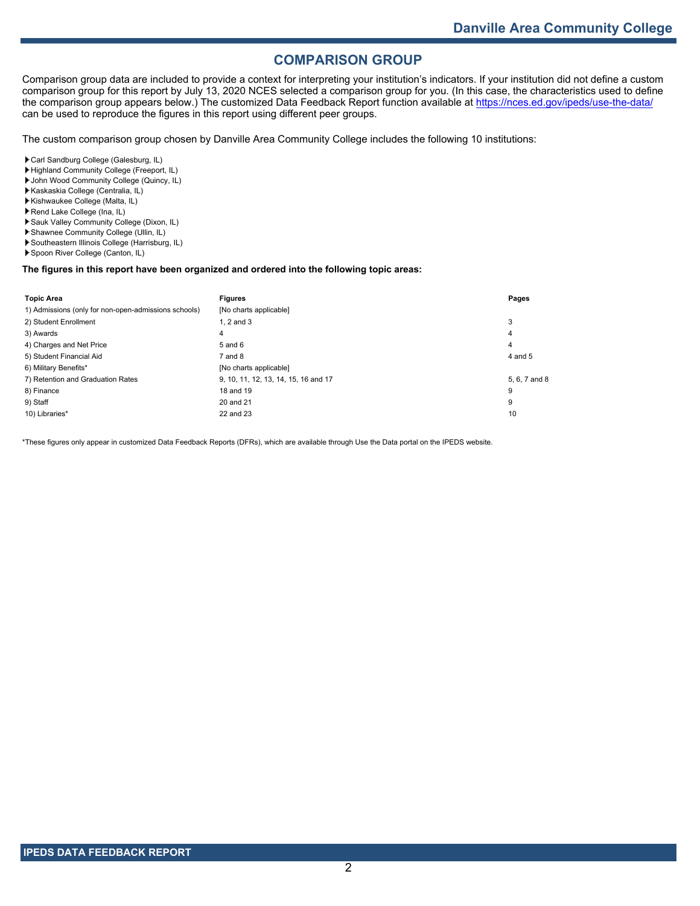# **COMPARISON GROUP**

Comparison group data are included to provide a context for interpreting your institution's indicators. If your institution did not define a custom comparison group for this report by July 13, 2020 NCES selected a comparison group for you. (In this case, the characteristics used to define the comparison group appears below.) The customized Data Feedback Report function available at<https://nces.ed.gov/ipeds/use-the-data/> can be used to reproduce the figures in this report using different peer groups.

The custom comparison group chosen by Danville Area Community College includes the following 10 institutions:

Carl Sandburg College (Galesburg, IL)

- Highland Community College (Freeport, IL)
- John Wood Community College (Quincy, IL)
- Kaskaskia College (Centralia, IL) Kishwaukee College (Malta, IL)
- Rend Lake College (Ina, IL)
- Sauk Valley Community College (Dixon, IL)
- Shawnee Community College (Ullin, IL)
- Southeastern Illinois College (Harrisburg, IL)
- Spoon River College (Canton, IL)

### **The figures in this report have been organized and ordered into the following topic areas:**

| <b>Topic Area</b>                                    | <b>Figures</b>                       | Pages         |
|------------------------------------------------------|--------------------------------------|---------------|
| 1) Admissions (only for non-open-admissions schools) | [No charts applicable]               |               |
| 2) Student Enrollment                                | 1. $2$ and $3$                       | 3             |
| 3) Awards                                            | 4                                    | 4             |
| 4) Charges and Net Price                             | 5 and 6                              | 4             |
| 5) Student Financial Aid                             | $7$ and $8$                          | 4 and 5       |
| 6) Military Benefits*                                | [No charts applicable]               |               |
| 7) Retention and Graduation Rates                    | 9, 10, 11, 12, 13, 14, 15, 16 and 17 | 5, 6, 7 and 8 |
| 8) Finance                                           | 18 and 19                            | 9             |
| 9) Staff                                             | 20 and 21                            | 9             |
| 10) Libraries*                                       | 22 and 23                            | 10            |

\*These figures only appear in customized Data Feedback Reports (DFRs), which are available through Use the Data portal on the IPEDS website.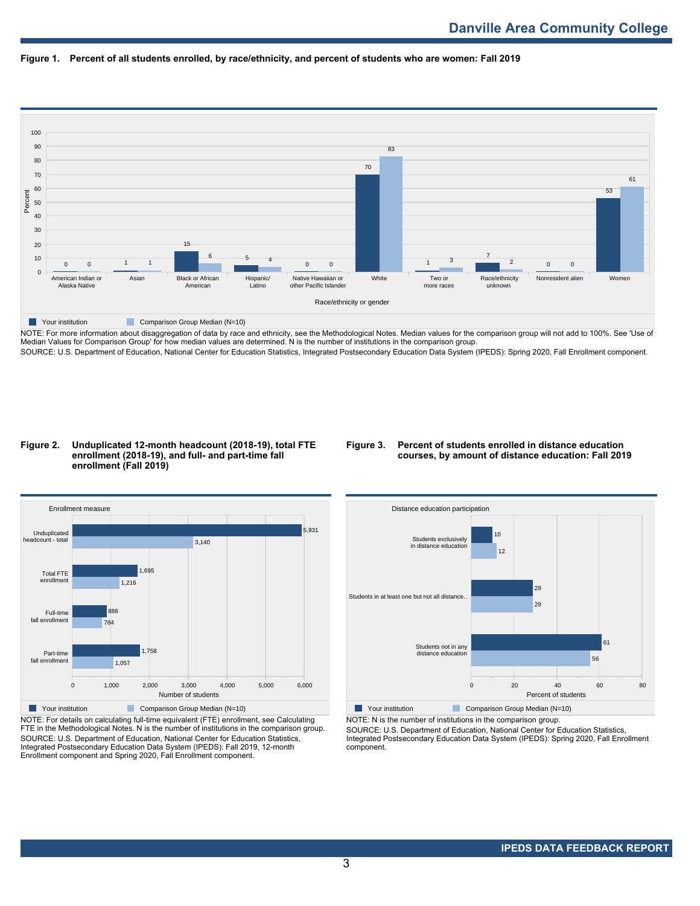



NOTE: For more information about disaggregation of data by race and ethnicity, see the Methodological Notes. Median values for the comparison group will not add to 100%. See 'Use of Median Values for Comparison Group' for how median values are determined. N is the number of institutions in the comparison group. SOURCE: U.S. Department of Education, National Center for Education Statistics, Integrated Postsecondary Education Data System (IPEDS): Spring 2020, Fall Enrollment component.

#### **Figure 2. Unduplicated 12-month headcount (2018-19), total FTE enrollment (2018-19), and full- and part-time fall enrollment (Fall 2019)**

## **Figure 3. Percent of students enrolled in distance education courses, by amount of distance education: Fall 2019**



NOTE: For details on calculating full-time equivalent (FTE) enrollment, see Calculating FTE in the Methodological Notes. N is the number of institutions in the comparison group. SOURCE: U.S. Department of Education, National Center for Education Statistics, Integrated Postsecondary Education Data System (IPEDS): Fall 2019, 12-month Enrollment component and Spring 2020, Fall Enrollment component.



NOTE: N is the number of institutions in the comparison group.

SOURCE: U.S. Department of Education, National Center for Education Statistics, Integrated Postsecondary Education Data System (IPEDS): Spring 2020, Fall Enrollment component.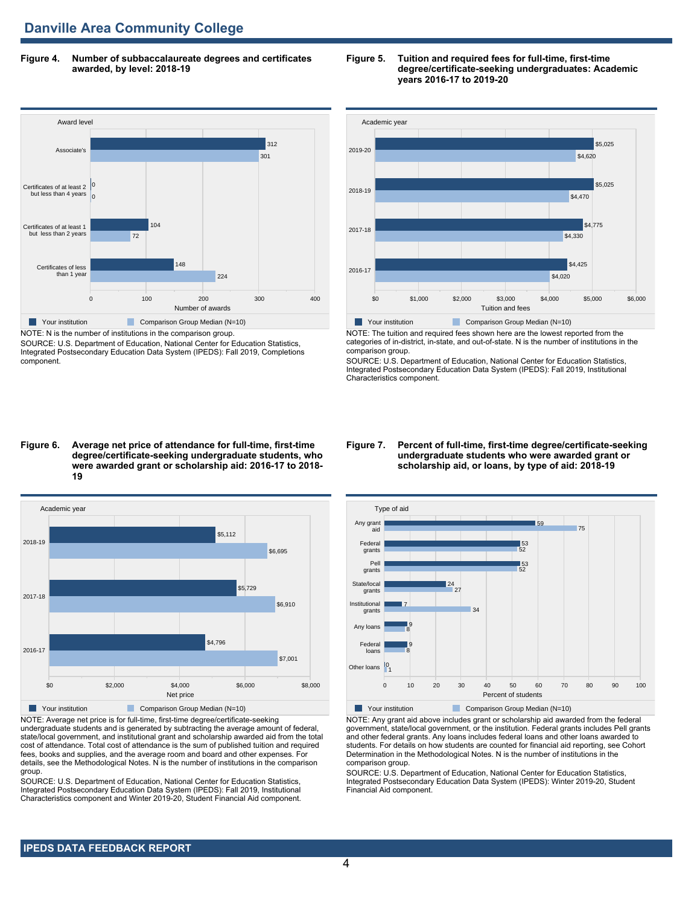**Figure 4. Number of subbaccalaureate degrees and certificates awarded, by level: 2018-19**



SOURCE: U.S. Department of Education, National Center for Education Statistics, Integrated Postsecondary Education Data System (IPEDS): Fall 2019, Completions component.

#### **Figure 5. Tuition and required fees for full-time, first-time degree/certificate-seeking undergraduates: Academic years 2016-17 to 2019-20**



NOTE: The tuition and required fees shown here are the lowest reported from the categories of in-district, in-state, and out-of-state. N is the number of institutions in the comparison group.

SOURCE: U.S. Department of Education, National Center for Education Statistics, Integrated Postsecondary Education Data System (IPEDS): Fall 2019, Institutional Characteristics component.

#### **Figure 6. Average net price of attendance for full-time, first-time degree/certificate-seeking undergraduate students, who were awarded grant or scholarship aid: 2016-17 to 2018- 19**



NOTE: Average net price is for full-time, first-time degree/certificate-seeking undergraduate students and is generated by subtracting the average amount of federal, state/local government, and institutional grant and scholarship awarded aid from the total cost of attendance. Total cost of attendance is the sum of published tuition and required fees, books and supplies, and the average room and board and other expenses. For details, see the Methodological Notes. N is the number of institutions in the comparison group.

SOURCE: U.S. Department of Education, National Center for Education Statistics, Integrated Postsecondary Education Data System (IPEDS): Fall 2019, Institutional Characteristics component and Winter 2019-20, Student Financial Aid component.

#### **Figure 7. Percent of full-time, first-time degree/certificate-seeking undergraduate students who were awarded grant or scholarship aid, or loans, by type of aid: 2018-19**



NOTE: Any grant aid above includes grant or scholarship aid awarded from the federal government, state/local government, or the institution. Federal grants includes Pell grants and other federal grants. Any loans includes federal loans and other loans awarded to students. For details on how students are counted for financial aid reporting, see Cohort Determination in the Methodological Notes. N is the number of institutions in the comparison group.

SOURCE: U.S. Department of Education, National Center for Education Statistics, Integrated Postsecondary Education Data System (IPEDS): Winter 2019-20, Student Financial Aid component.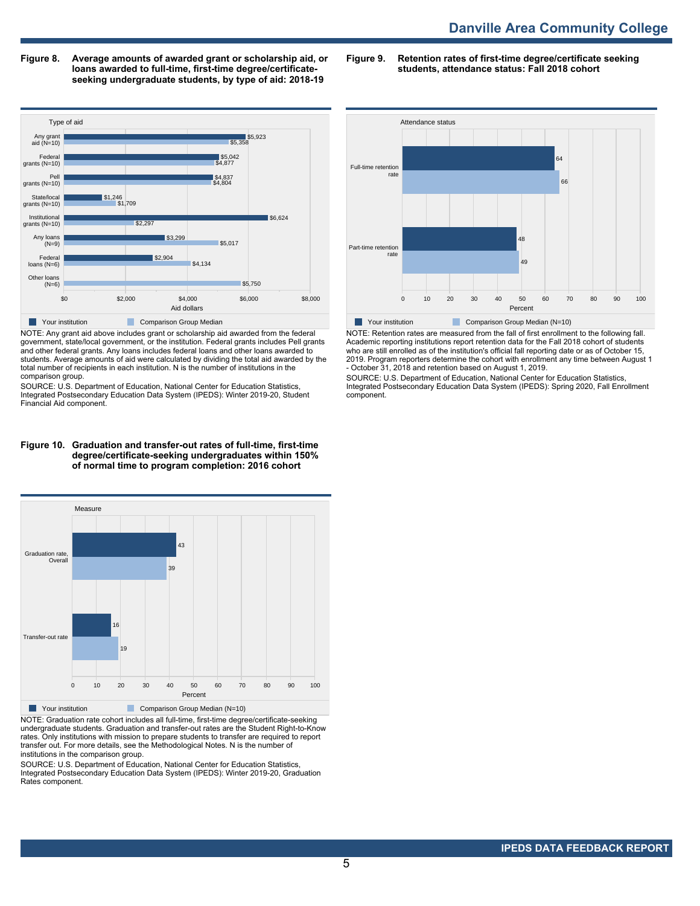**Figure 8. Average amounts of awarded grant or scholarship aid, or loans awarded to full-time, first-time degree/certificateseeking undergraduate students, by type of aid: 2018-19**

**Figure 9. Retention rates of first-time degree/certificate seeking students, attendance status: Fall 2018 cohort**



NOTE: Any grant aid above includes grant or scholarship aid awarded from the federal government, state/local government, or the institution. Federal grants includes Pell grants and other federal grants. Any loans includes federal loans and other loans awarded to students. Average amounts of aid were calculated by dividing the total aid awarded by the total number of recipients in each institution. N is the number of institutions in the comparison group.

SOURCE: U.S. Department of Education, National Center for Education Statistics, Integrated Postsecondary Education Data System (IPEDS): Winter 2019-20, Student Financial Aid component.

#### **Figure 10. Graduation and transfer-out rates of full-time, first-time degree/certificate-seeking undergraduates within 150% of normal time to program completion: 2016 cohort**



NOTE: Graduation rate cohort includes all full-time, first-time degree/certificate-seeking undergraduate students. Graduation and transfer-out rates are the Student Right-to-Know rates. Only institutions with mission to prepare students to transfer are required to report transfer out. For more details, see the Methodological Notes. N is the number of institutions in the comparison group.

SOURCE: U.S. Department of Education, National Center for Education Statistics, Integrated Postsecondary Education Data System (IPEDS): Winter 2019-20, Graduation Rates component.



NOTE: Retention rates are measured from the fall of first enrollment to the following fall. Academic reporting institutions report retention data for the Fall 2018 cohort of students who are still enrolled as of the institution's official fall reporting date or as of October 15, 2019. Program reporters determine the cohort with enrollment any time between August 1 - October 31, 2018 and retention based on August 1, 2019.

SOURCE: U.S. Department of Education, National Center for Education Statistics, Integrated Postsecondary Education Data System (IPEDS): Spring 2020, Fall Enrollment component.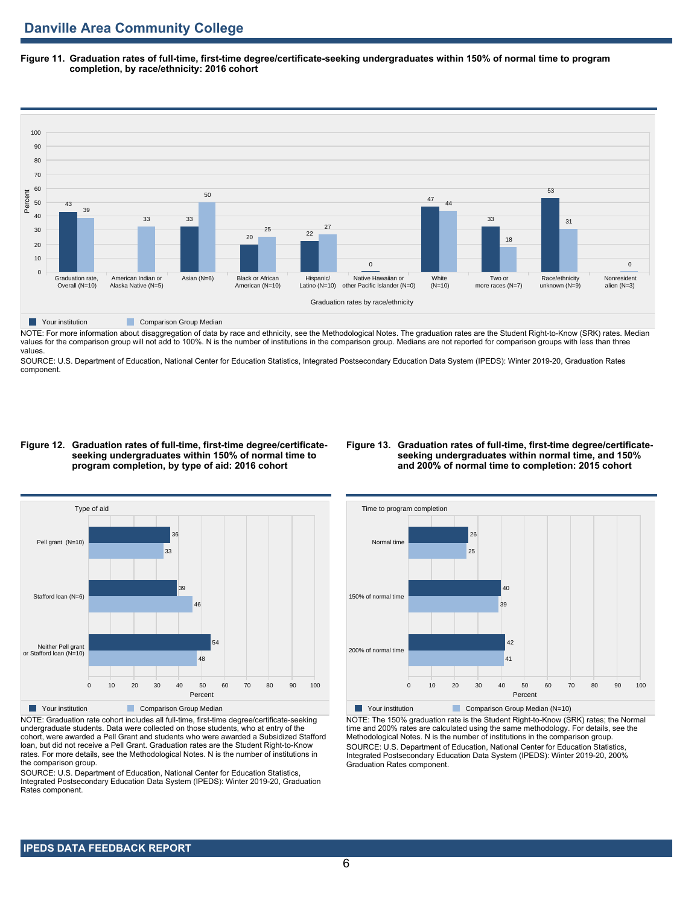**Figure 11. Graduation rates of full-time, first-time degree/certificate-seeking undergraduates within 150% of normal time to program completion, by race/ethnicity: 2016 cohort**



NOTE: For more information about disaggregation of data by race and ethnicity, see the Methodological Notes. The graduation rates are the Student Right-to-Know (SRK) rates. Median values for the comparison group will not add to 100%. N is the number of institutions in the comparison group. Medians are not reported for comparison groups with less than three values.

SOURCE: U.S. Department of Education, National Center for Education Statistics, Integrated Postsecondary Education Data System (IPEDS): Winter 2019-20, Graduation Rates component.

#### **Figure 12. Graduation rates of full-time, first-time degree/certificateseeking undergraduates within 150% of normal time to program completion, by type of aid: 2016 cohort**

#### **Figure 13. Graduation rates of full-time, first-time degree/certificateseeking undergraduates within normal time, and 150% and 200% of normal time to completion: 2015 cohort**



NOTE: Graduation rate cohort includes all full-time, first-time degree/certificate-seeking undergraduate students. Data were collected on those students, who at entry of the cohort, were awarded a Pell Grant and students who were awarded a Subsidized Stafford loan, but did not receive a Pell Grant. Graduation rates are the Student Right-to-Know rates. For more details, see the Methodological Notes. N is the number of institutions in the comparison group.

SOURCE: U.S. Department of Education, National Center for Education Statistics, Integrated Postsecondary Education Data System (IPEDS): Winter 2019-20, Graduation Rates component.



NOTE: The 150% graduation rate is the Student Right-to-Know (SRK) rates; the Normal time and 200% rates are calculated using the same methodology. For details, see the Methodological Notes. N is the number of institutions in the comparison group. SOURCE: U.S. Department of Education, National Center for Education Statistics, Integrated Postsecondary Education Data System (IPEDS): Winter 2019-20, 200% Graduation Rates component.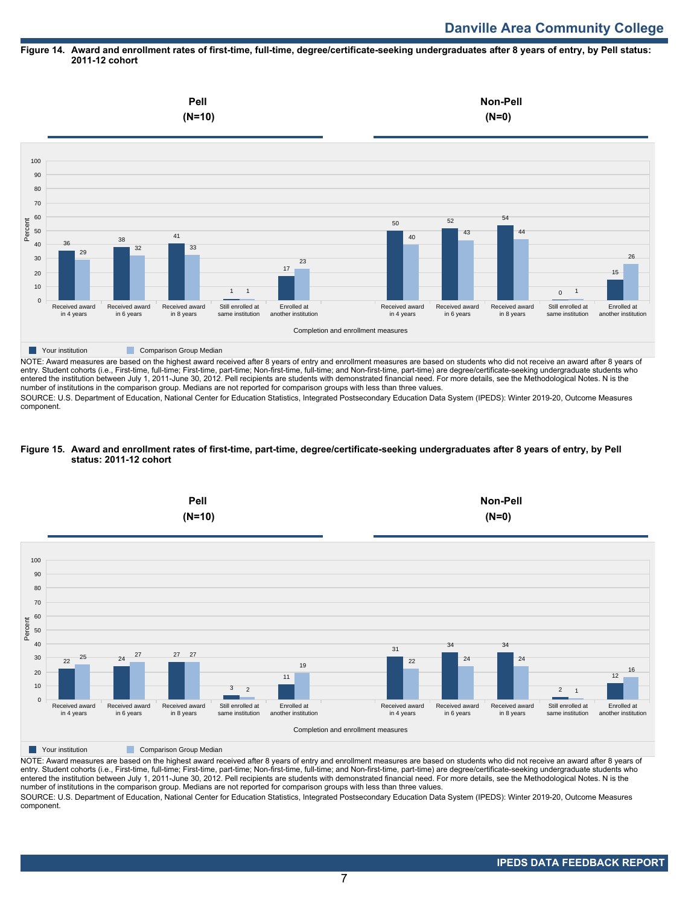# **Danville Area Community College**

#### **Figure 14. Award and enrollment rates of first-time, full-time, degree/certificate-seeking undergraduates after 8 years of entry, by Pell status: 2011-12 cohort**



NOTE: Award measures are based on the highest award received after 8 years of entry and enrollment measures are based on students who did not receive an award after 8 years of entry. Student cohorts (i.e., First-time, full-time; First-time, part-time; Non-first-time, full-time; and Non-first-time, part-time) are degree/certificate-seeking undergraduate students who entered the institution between July 1, 2011-June 30, 2012. Pell recipients are students with demonstrated financial need. For more details, see the Methodological Notes. N is the number of institutions in the comparison group. Medians are not reported for comparison groups with less than three values.

SOURCE: U.S. Department of Education, National Center for Education Statistics, Integrated Postsecondary Education Data System (IPEDS): Winter 2019-20, Outcome Measures component.

#### **Figure 15. Award and enrollment rates of first-time, part-time, degree/certificate-seeking undergraduates after 8 years of entry, by Pell status: 2011-12 cohort**



NOTE: Award measures are based on the highest award received after 8 years of entry and enrollment measures are based on students who did not receive an award after 8 years of entry. Student cohorts (i.e., First-time, full-time; First-time, part-time; Non-first-time, full-time; and Non-first-time, part-time) are degree/certificate-seeking undergraduate students who entered the institution between July 1, 2011-June 30, 2012. Pell recipients are students with demonstrated financial need. For more details, see the Methodological Notes. N is the number of institutions in the comparison group. Medians are not reported for comparison groups with less than three values. SOURCE: U.S. Department of Education, National Center for Education Statistics, Integrated Postsecondary Education Data System (IPEDS): Winter 2019-20, Outcome Measures component.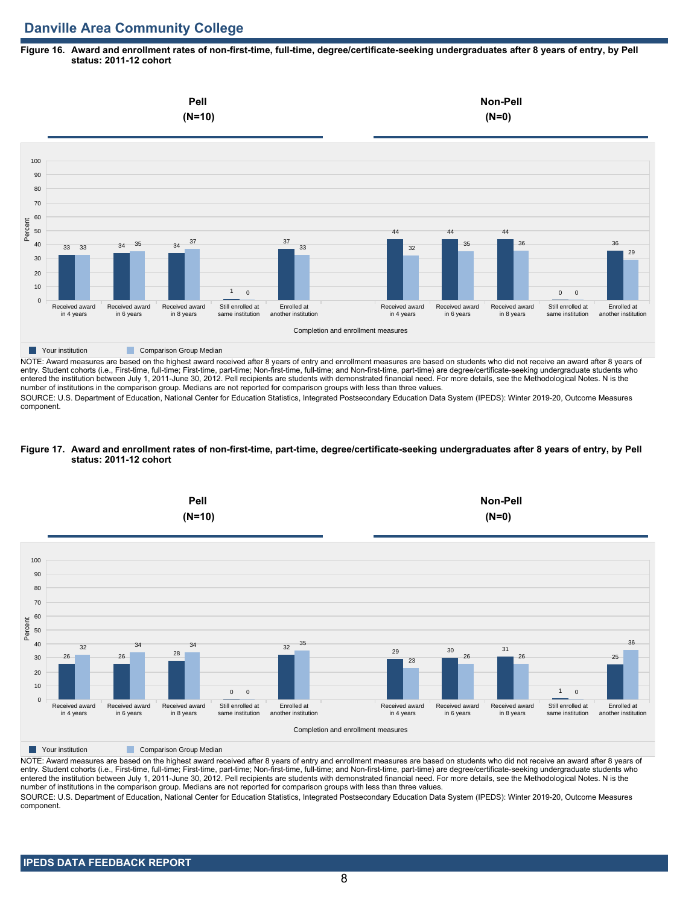# **Danville Area Community College**

#### **Figure 16. Award and enrollment rates of non-first-time, full-time, degree/certificate-seeking undergraduates after 8 years of entry, by Pell status: 2011-12 cohort**



NOTE: Award measures are based on the highest award received after 8 years of entry and enrollment measures are based on students who did not receive an award after 8 years of entry. Student cohorts (i.e., First-time, full-time; First-time, part-time; Non-first-time, full-time; and Non-first-time, part-time) are degree/certificate-seeking undergraduate students who entered the institution between July 1, 2011-June 30, 2012. Pell recipients are students with demonstrated financial need. For more details, see the Methodological Notes. N is the number of institutions in the comparison group. Medians are not reported for comparison groups with less than three values.

SOURCE: U.S. Department of Education, National Center for Education Statistics, Integrated Postsecondary Education Data System (IPEDS): Winter 2019-20, Outcome Measures component.

#### **Figure 17. Award and enrollment rates of non-first-time, part-time, degree/certificate-seeking undergraduates after 8 years of entry, by Pell status: 2011-12 cohort**



NOTE: Award measures are based on the highest award received after 8 years of entry and enrollment measures are based on students who did not receive an award after 8 years of entry. Student cohorts (i.e., First-time, full-time; First-time, part-time; Non-first-time, full-time; and Non-first-time, part-time) are degree/certificate-seeking undergraduate students who entered the institution between July 1, 2011-June 30, 2012. Pell recipients are students with demonstrated financial need. For more details, see the Methodological Notes. N is the number of institutions in the comparison group. Medians are not reported for comparison groups with less than three values. SOURCE: U.S. Department of Education, National Center for Education Statistics, Integrated Postsecondary Education Data System (IPEDS): Winter 2019-20, Outcome Measures component.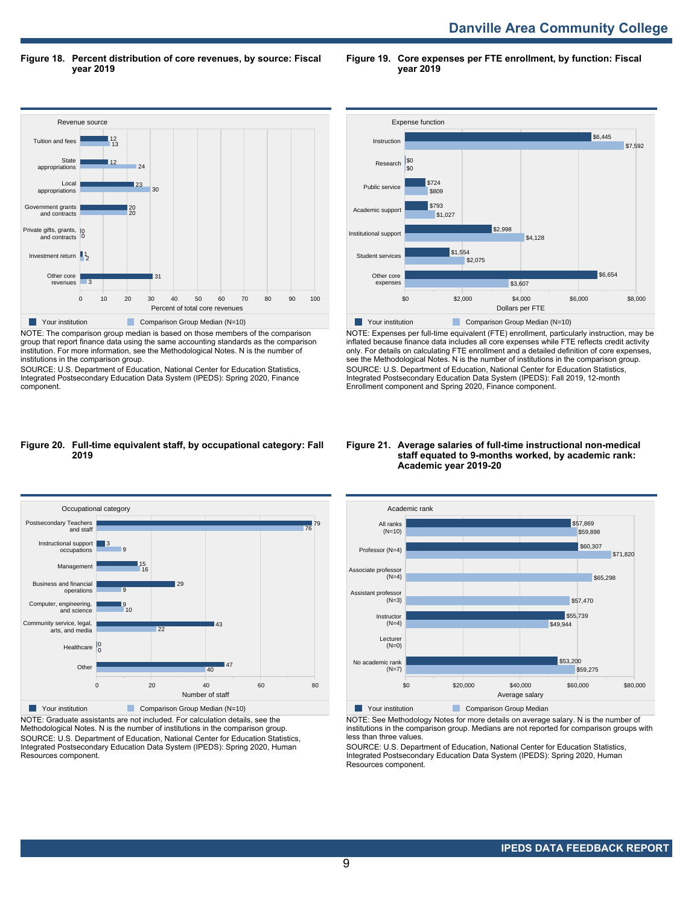**Danville Area Community College** 

**Figure 18. Percent distribution of core revenues, by source: Fiscal year 2019**

**Figure 19. Core expenses per FTE enrollment, by function: Fiscal year 2019**



NOTE: The comparison group median is based on those members of the comparison group that report finance data using the same accounting standards as the comparison institution. For more information, see the Methodological Notes. N is the number of institutions in the comparison group.

SOURCE: U.S. Department of Education, National Center for Education Statistics, Integrated Postsecondary Education Data System (IPEDS): Spring 2020, Finance component.



NOTE: Expenses per full-time equivalent (FTE) enrollment, particularly instruction, may be inflated because finance data includes all core expenses while FTE reflects credit activity only. For details on calculating FTE enrollment and a detailed definition of core expenses, see the Methodological Notes. N is the number of institutions in the comparison group. SOURCE: U.S. Department of Education, National Center for Education Statistics, Integrated Postsecondary Education Data System (IPEDS): Fall 2019, 12-month Enrollment component and Spring 2020, Finance component.

#### **Figure 20. Full-time equivalent staff, by occupational category: Fall 2019**



NOTE: Graduate assistants are not included. For calculation details, see the Methodological Notes. N is the number of institutions in the comparison group. SOURCE: U.S. Department of Education, National Center for Education Statistics, Integrated Postsecondary Education Data System (IPEDS): Spring 2020, Human Resources component.

#### **Figure 21. Average salaries of full-time instructional non-medical staff equated to 9-months worked, by academic rank: Academic year 2019-20**



NOTE: See Methodology Notes for more details on average salary. N is the number of institutions in the comparison group. Medians are not reported for comparison groups with less than three values.

SOURCE: U.S. Department of Education, National Center for Education Statistics, Integrated Postsecondary Education Data System (IPEDS): Spring 2020, Human Resources component.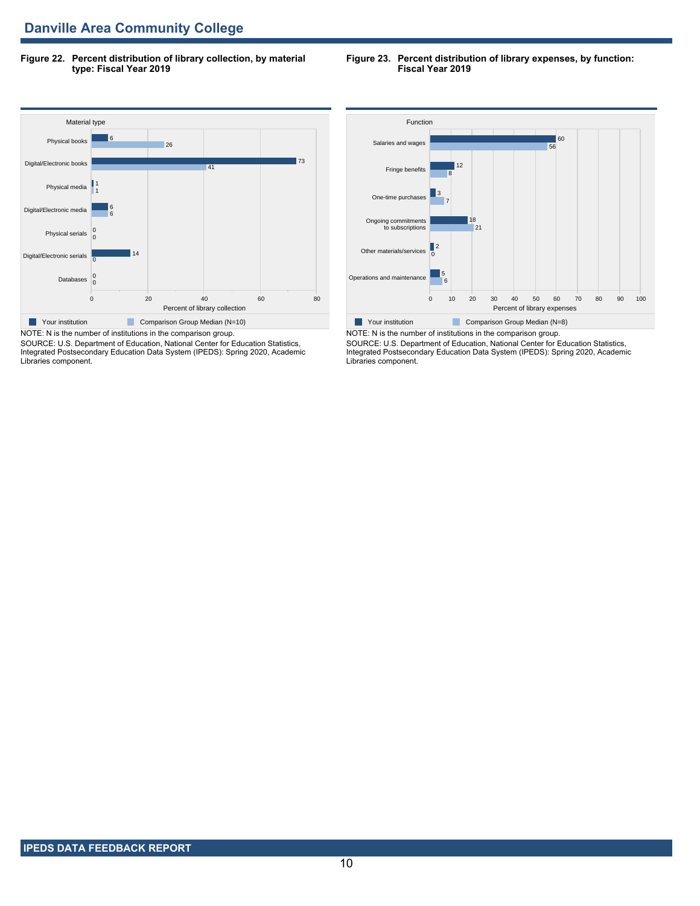**Figure 22. Percent distribution of library collection, by material type: Fiscal Year 2019**

#### **Figure 23. Percent distribution of library expenses, by function: Fiscal Year 2019**



SOURCE: U.S. Department of Education, National Center for Education Statistics, Integrated Postsecondary Education Data System (IPEDS): Spring 2020, Academic Libraries component.



NOTE: N is the number of institutions in the comparison group. SOURCE: U.S. Department of Education, National Center for Education Statistics, Integrated Postsecondary Education Data System (IPEDS): Spring 2020, Academic Libraries component.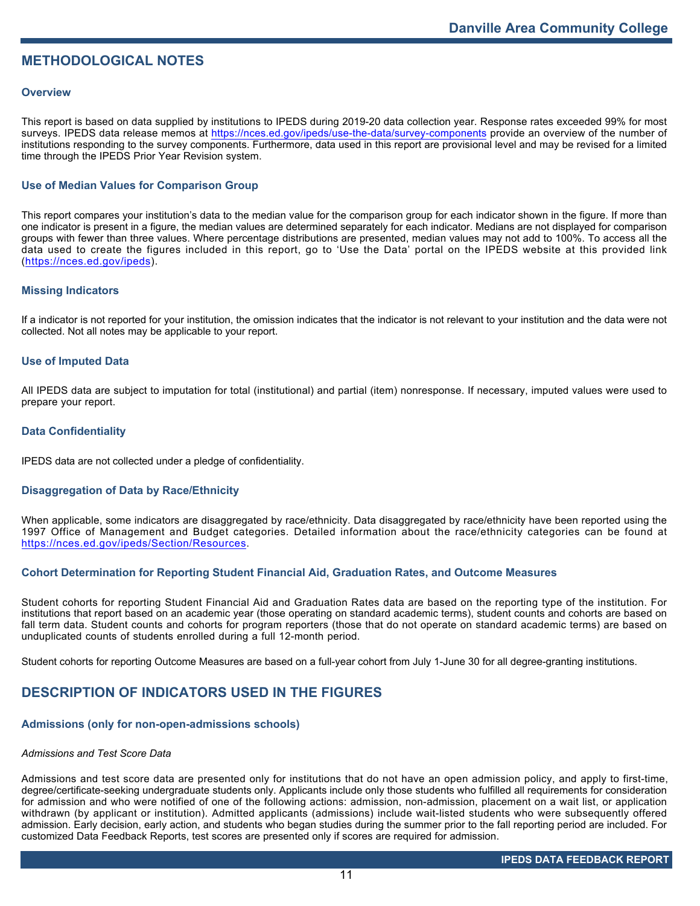# **METHODOLOGICAL NOTES**

## **Overview**

This report is based on data supplied by institutions to IPEDS during 2019-20 data collection year. Response rates exceeded 99% for most surveys. IPEDS data release memos at <https://nces.ed.gov/ipeds/use-the-data/survey-components> provide an overview of the number of institutions responding to the survey components. Furthermore, data used in this report are provisional level and may be revised for a limited time through the IPEDS Prior Year Revision system.

# **Use of Median Values for Comparison Group**

This report compares your institution's data to the median value for the comparison group for each indicator shown in the figure. If more than one indicator is present in a figure, the median values are determined separately for each indicator. Medians are not displayed for comparison groups with fewer than three values. Where percentage distributions are presented, median values may not add to 100%. To access all the data used to create the figures included in this report, go to 'Use the Data' portal on the IPEDS website at this provided link (<https://nces.ed.gov/ipeds>).

# **Missing Indicators**

If a indicator is not reported for your institution, the omission indicates that the indicator is not relevant to your institution and the data were not collected. Not all notes may be applicable to your report.

## **Use of Imputed Data**

All IPEDS data are subject to imputation for total (institutional) and partial (item) nonresponse. If necessary, imputed values were used to prepare your report.

## **Data Confidentiality**

IPEDS data are not collected under a pledge of confidentiality.

# **Disaggregation of Data by Race/Ethnicity**

When applicable, some indicators are disaggregated by race/ethnicity. Data disaggregated by race/ethnicity have been reported using the 1997 Office of Management and Budget categories. Detailed information about the race/ethnicity categories can be found at <https://nces.ed.gov/ipeds/Section/Resources>.

# **Cohort Determination for Reporting Student Financial Aid, Graduation Rates, and Outcome Measures**

Student cohorts for reporting Student Financial Aid and Graduation Rates data are based on the reporting type of the institution. For institutions that report based on an academic year (those operating on standard academic terms), student counts and cohorts are based on fall term data. Student counts and cohorts for program reporters (those that do not operate on standard academic terms) are based on unduplicated counts of students enrolled during a full 12-month period.

Student cohorts for reporting Outcome Measures are based on a full-year cohort from July 1-June 30 for all degree-granting institutions.

# **DESCRIPTION OF INDICATORS USED IN THE FIGURES**

#### **Admissions (only for non-open-admissions schools)**

#### *Admissions and Test Score Data*

Admissions and test score data are presented only for institutions that do not have an open admission policy, and apply to first-time, degree/certificate-seeking undergraduate students only. Applicants include only those students who fulfilled all requirements for consideration for admission and who were notified of one of the following actions: admission, non-admission, placement on a wait list, or application withdrawn (by applicant or institution). Admitted applicants (admissions) include wait-listed students who were subsequently offered admission. Early decision, early action, and students who began studies during the summer prior to the fall reporting period are included. For customized Data Feedback Reports, test scores are presented only if scores are required for admission.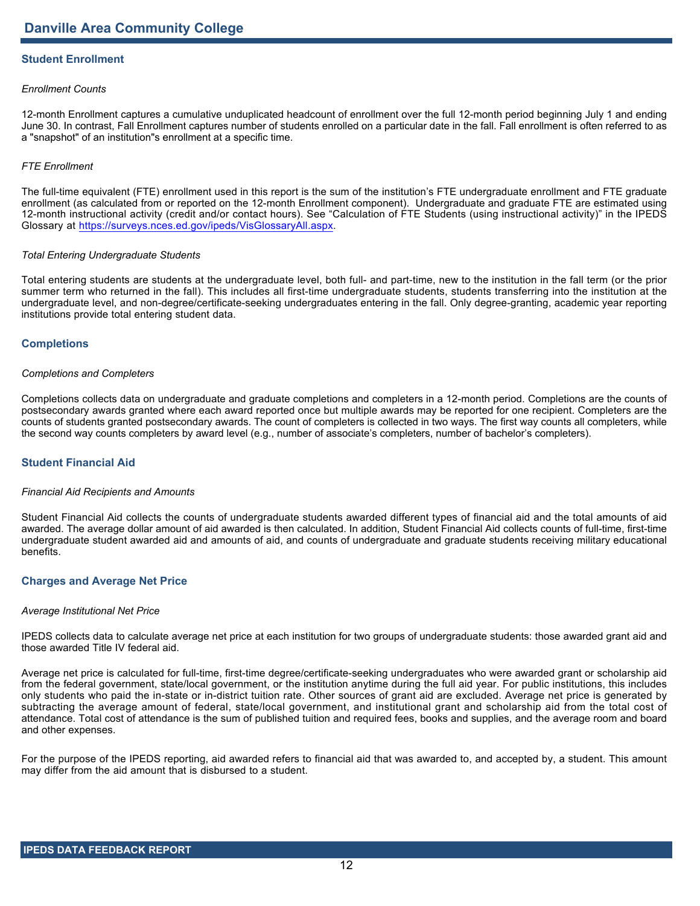# **Student Enrollment**

## *Enrollment Counts*

12-month Enrollment captures a cumulative unduplicated headcount of enrollment over the full 12-month period beginning July 1 and ending June 30. In contrast, Fall Enrollment captures number of students enrolled on a particular date in the fall. Fall enrollment is often referred to as a "snapshot" of an institution"s enrollment at a specific time.

## *FTE Enrollment*

The full-time equivalent (FTE) enrollment used in this report is the sum of the institution's FTE undergraduate enrollment and FTE graduate enrollment (as calculated from or reported on the 12-month Enrollment component). Undergraduate and graduate FTE are estimated using 12-month instructional activity (credit and/or contact hours). See "Calculation of FTE Students (using instructional activity)" in the IPEDS Glossary at <https://surveys.nces.ed.gov/ipeds/VisGlossaryAll.aspx>.

#### *Total Entering Undergraduate Students*

Total entering students are students at the undergraduate level, both full- and part-time, new to the institution in the fall term (or the prior summer term who returned in the fall). This includes all first-time undergraduate students, students transferring into the institution at the undergraduate level, and non-degree/certificate-seeking undergraduates entering in the fall. Only degree-granting, academic year reporting institutions provide total entering student data.

## **Completions**

#### *Completions and Completers*

Completions collects data on undergraduate and graduate completions and completers in a 12-month period. Completions are the counts of postsecondary awards granted where each award reported once but multiple awards may be reported for one recipient. Completers are the counts of students granted postsecondary awards. The count of completers is collected in two ways. The first way counts all completers, while the second way counts completers by award level (e.g., number of associate's completers, number of bachelor's completers).

# **Student Financial Aid**

#### *Financial Aid Recipients and Amounts*

Student Financial Aid collects the counts of undergraduate students awarded different types of financial aid and the total amounts of aid awarded. The average dollar amount of aid awarded is then calculated. In addition, Student Financial Aid collects counts of full-time, first-time undergraduate student awarded aid and amounts of aid, and counts of undergraduate and graduate students receiving military educational benefits.

#### **Charges and Average Net Price**

#### *Average Institutional Net Price*

IPEDS collects data to calculate average net price at each institution for two groups of undergraduate students: those awarded grant aid and those awarded Title IV federal aid.

Average net price is calculated for full-time, first-time degree/certificate-seeking undergraduates who were awarded grant or scholarship aid from the federal government, state/local government, or the institution anytime during the full aid year. For public institutions, this includes only students who paid the in-state or in-district tuition rate. Other sources of grant aid are excluded. Average net price is generated by subtracting the average amount of federal, state/local government, and institutional grant and scholarship aid from the total cost of attendance. Total cost of attendance is the sum of published tuition and required fees, books and supplies, and the average room and board and other expenses.

For the purpose of the IPEDS reporting, aid awarded refers to financial aid that was awarded to, and accepted by, a student. This amount may differ from the aid amount that is disbursed to a student.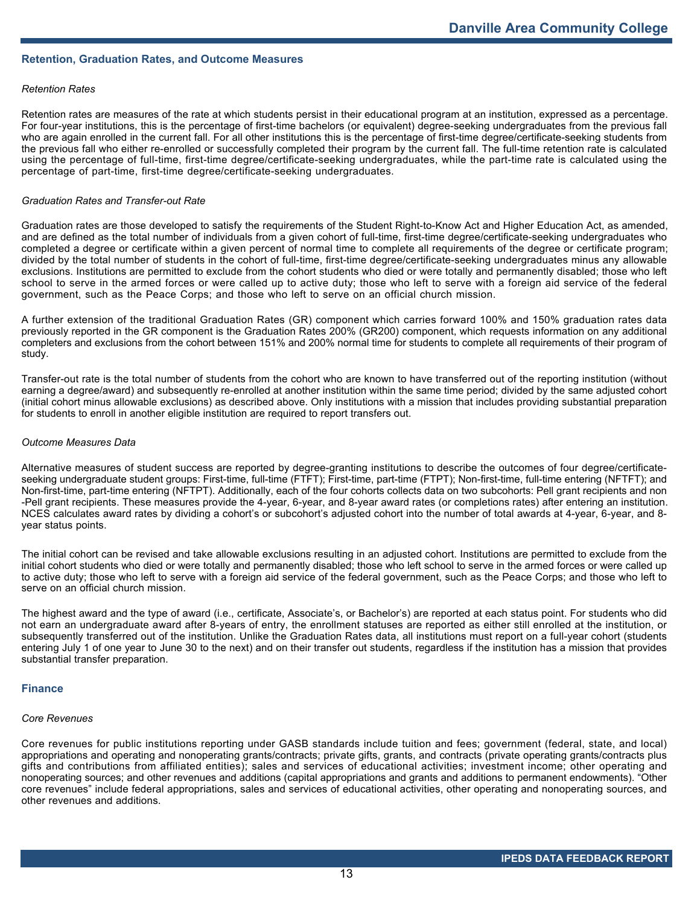## **Retention, Graduation Rates, and Outcome Measures**

### *Retention Rates*

Retention rates are measures of the rate at which students persist in their educational program at an institution, expressed as a percentage. For four-year institutions, this is the percentage of first-time bachelors (or equivalent) degree-seeking undergraduates from the previous fall who are again enrolled in the current fall. For all other institutions this is the percentage of first-time degree/certificate-seeking students from the previous fall who either re-enrolled or successfully completed their program by the current fall. The full-time retention rate is calculated using the percentage of full-time, first-time degree/certificate-seeking undergraduates, while the part-time rate is calculated using the percentage of part-time, first-time degree/certificate-seeking undergraduates.

#### *Graduation Rates and Transfer-out Rate*

Graduation rates are those developed to satisfy the requirements of the Student Right-to-Know Act and Higher Education Act, as amended, and are defined as the total number of individuals from a given cohort of full-time, first-time degree/certificate-seeking undergraduates who completed a degree or certificate within a given percent of normal time to complete all requirements of the degree or certificate program; divided by the total number of students in the cohort of full-time, first-time degree/certificate-seeking undergraduates minus any allowable exclusions. Institutions are permitted to exclude from the cohort students who died or were totally and permanently disabled; those who left school to serve in the armed forces or were called up to active duty; those who left to serve with a foreign aid service of the federal government, such as the Peace Corps; and those who left to serve on an official church mission.

A further extension of the traditional Graduation Rates (GR) component which carries forward 100% and 150% graduation rates data previously reported in the GR component is the Graduation Rates 200% (GR200) component, which requests information on any additional completers and exclusions from the cohort between 151% and 200% normal time for students to complete all requirements of their program of study.

Transfer-out rate is the total number of students from the cohort who are known to have transferred out of the reporting institution (without earning a degree/award) and subsequently re-enrolled at another institution within the same time period; divided by the same adjusted cohort (initial cohort minus allowable exclusions) as described above. Only institutions with a mission that includes providing substantial preparation for students to enroll in another eligible institution are required to report transfers out.

#### *Outcome Measures Data*

Alternative measures of student success are reported by degree-granting institutions to describe the outcomes of four degree/certificateseeking undergraduate student groups: First-time, full-time (FTFT); First-time, part-time (FTPT); Non-first-time, full-time entering (NFTFT); and Non-first-time, part-time entering (NFTPT). Additionally, each of the four cohorts collects data on two subcohorts: Pell grant recipients and non -Pell grant recipients. These measures provide the 4-year, 6-year, and 8-year award rates (or completions rates) after entering an institution. NCES calculates award rates by dividing a cohort's or subcohort's adjusted cohort into the number of total awards at 4-year, 6-year, and 8 year status points.

The initial cohort can be revised and take allowable exclusions resulting in an adjusted cohort. Institutions are permitted to exclude from the initial cohort students who died or were totally and permanently disabled; those who left school to serve in the armed forces or were called up to active duty; those who left to serve with a foreign aid service of the federal government, such as the Peace Corps; and those who left to serve on an official church mission.

The highest award and the type of award (i.e., certificate, Associate's, or Bachelor's) are reported at each status point. For students who did not earn an undergraduate award after 8-years of entry, the enrollment statuses are reported as either still enrolled at the institution, or subsequently transferred out of the institution. Unlike the Graduation Rates data, all institutions must report on a full-year cohort (students entering July 1 of one year to June 30 to the next) and on their transfer out students, regardless if the institution has a mission that provides substantial transfer preparation.

#### **Finance**

### *Core Revenues*

Core revenues for public institutions reporting under GASB standards include tuition and fees; government (federal, state, and local) appropriations and operating and nonoperating grants/contracts; private gifts, grants, and contracts (private operating grants/contracts plus gifts and contributions from affiliated entities); sales and services of educational activities; investment income; other operating and nonoperating sources; and other revenues and additions (capital appropriations and grants and additions to permanent endowments). "Other core revenues" include federal appropriations, sales and services of educational activities, other operating and nonoperating sources, and other revenues and additions.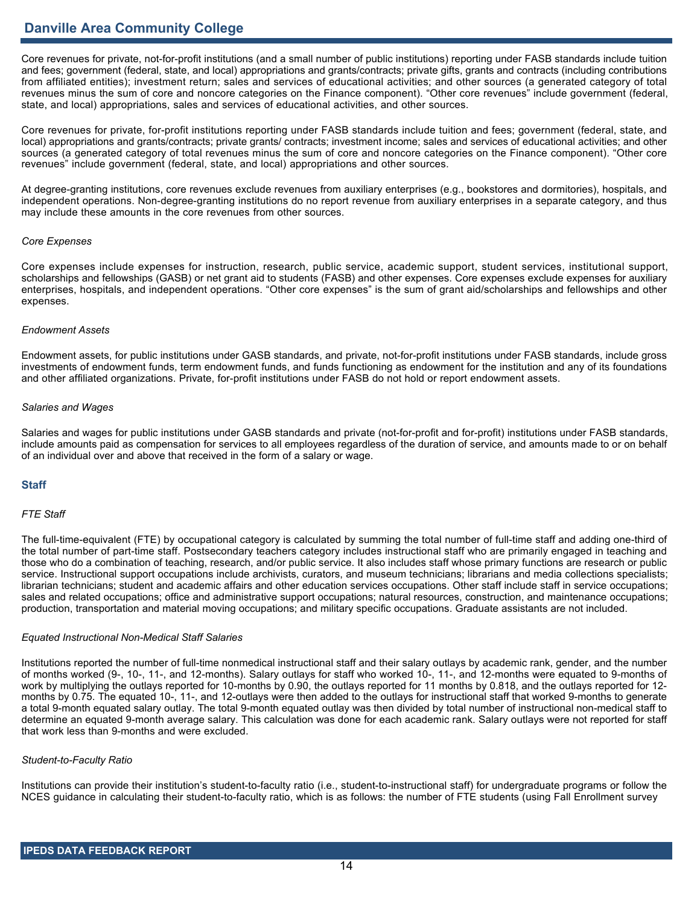# **Danville Area Community College**

Core revenues for private, not-for-profit institutions (and a small number of public institutions) reporting under FASB standards include tuition and fees; government (federal, state, and local) appropriations and grants/contracts; private gifts, grants and contracts (including contributions from affiliated entities); investment return; sales and services of educational activities; and other sources (a generated category of total revenues minus the sum of core and noncore categories on the Finance component). "Other core revenues" include government (federal, state, and local) appropriations, sales and services of educational activities, and other sources.

Core revenues for private, for-profit institutions reporting under FASB standards include tuition and fees; government (federal, state, and local) appropriations and grants/contracts; private grants/ contracts; investment income; sales and services of educational activities; and other sources (a generated category of total revenues minus the sum of core and noncore categories on the Finance component). "Other core revenues" include government (federal, state, and local) appropriations and other sources.

At degree-granting institutions, core revenues exclude revenues from auxiliary enterprises (e.g., bookstores and dormitories), hospitals, and independent operations. Non-degree-granting institutions do no report revenue from auxiliary enterprises in a separate category, and thus may include these amounts in the core revenues from other sources.

#### *Core Expenses*

Core expenses include expenses for instruction, research, public service, academic support, student services, institutional support, scholarships and fellowships (GASB) or net grant aid to students (FASB) and other expenses. Core expenses exclude expenses for auxiliary enterprises, hospitals, and independent operations. "Other core expenses" is the sum of grant aid/scholarships and fellowships and other expenses.

#### *Endowment Assets*

Endowment assets, for public institutions under GASB standards, and private, not-for-profit institutions under FASB standards, include gross investments of endowment funds, term endowment funds, and funds functioning as endowment for the institution and any of its foundations and other affiliated organizations. Private, for-profit institutions under FASB do not hold or report endowment assets.

## *Salaries and Wages*

Salaries and wages for public institutions under GASB standards and private (not-for-profit and for-profit) institutions under FASB standards, include amounts paid as compensation for services to all employees regardless of the duration of service, and amounts made to or on behalf of an individual over and above that received in the form of a salary or wage.

# **Staff**

## *FTE Staff*

The full-time-equivalent (FTE) by occupational category is calculated by summing the total number of full-time staff and adding one-third of the total number of part-time staff. Postsecondary teachers category includes instructional staff who are primarily engaged in teaching and those who do a combination of teaching, research, and/or public service. It also includes staff whose primary functions are research or public service. Instructional support occupations include archivists, curators, and museum technicians; librarians and media collections specialists; librarian technicians; student and academic affairs and other education services occupations. Other staff include staff in service occupations; sales and related occupations; office and administrative support occupations; natural resources, construction, and maintenance occupations; production, transportation and material moving occupations; and military specific occupations. Graduate assistants are not included.

#### *Equated Instructional Non-Medical Staff Salaries*

Institutions reported the number of full-time nonmedical instructional staff and their salary outlays by academic rank, gender, and the number of months worked (9-, 10-, 11-, and 12-months). Salary outlays for staff who worked 10-, 11-, and 12-months were equated to 9-months of work by multiplying the outlays reported for 10-months by 0.90, the outlays reported for 11 months by 0.818, and the outlays reported for 12 months by 0.75. The equated 10-, 11-, and 12-outlays were then added to the outlays for instructional staff that worked 9-months to generate a total 9-month equated salary outlay. The total 9-month equated outlay was then divided by total number of instructional non-medical staff to determine an equated 9-month average salary. This calculation was done for each academic rank. Salary outlays were not reported for staff that work less than 9-months and were excluded.

#### *Student-to-Faculty Ratio*

Institutions can provide their institution's student-to-faculty ratio (i.e., student-to-instructional staff) for undergraduate programs or follow the NCES guidance in calculating their student-to-faculty ratio, which is as follows: the number of FTE students (using Fall Enrollment survey